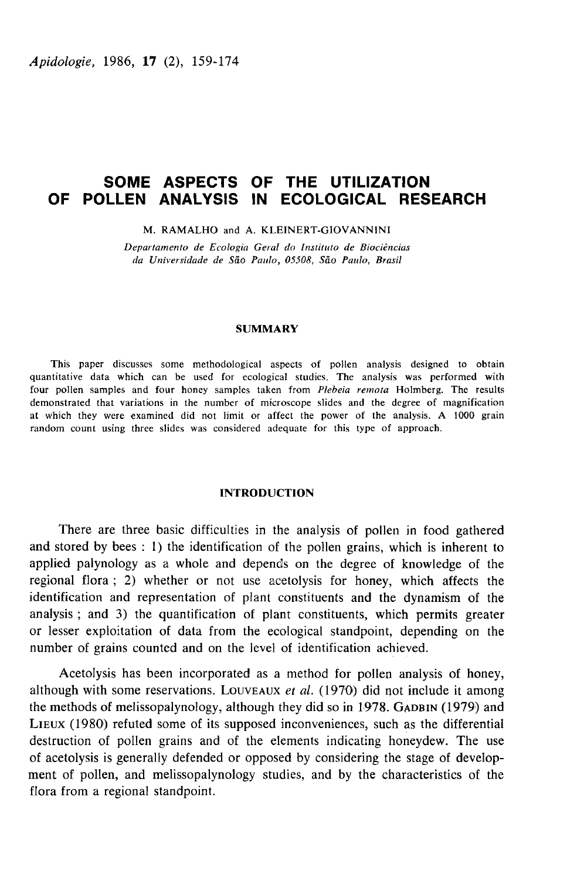# SOME ASPECTS OF THE UTILIZATION OF POLLEN ANALYSIS IN ECOLOGICAL RESEARCH

M. RAMALHO and A. KLEINERT-GIOVANNINI

Departamento de Ecologia Geral do Instituto de Biociências da Universidade de Sã0 Paulo, 05508, São Paulo, Brasil

#### SUMMARY

This paper discusses some methodological aspects of pollen analysis designed to obtain quantitative data which can be used for ecological studies. The analysis was performed with four pollen samples and four honey samples taken from Plebeia remota Holmberg. The results demonstrated that variations in the number of microscope slides and the degree of magnification at which they were examined did not limit or affect the power of the analysis. A 1000 grain random count using three slides was considered adequate for this type of approach.

### INTRODUCTION

There are three basic difficulties in the analysis of pollen in food gathered and stored by bees : 1) the identification of the pollen grains, which is inherent to applied palynology as a whole and depends on the degree of knowledge of the regional flora ; 2) whether or not use acetolysis for honey, which affects the identification and representation of plant constituents and the dynamism of the analysis ; and 3) the quantification of plant constituents, which permits greater or lesser exploitation of data from the ecological standpoint, depending on the number of grains counted and on the level of identification achieved.

Acetolysis has been incorporated as a method for pollen analysis of honey, although with some reservations. LouvEAUX *et al.* (1970) did not include it among Acetolysis has been incorporated as a method for pollen analysis of honey,<br>although with some reservations. Louveaux *et al.* (1970) did not include it among<br>the methods of melissopalynology, although they did so in 1978. although with some reservations. LOUVEAUX *et al.* (1970) did not include it among<br>the methods of melissopalynology, although they did so in 1978. GADBIN (1979) and<br>LIEUX (1980) refuted some of its supposed inconveniences, destruction of pollen grains and of the elements indicating honeydew. The use of acetolysis is generally defended or opposed by considering the stage of development of pollen, and melissopalynology studies, and by the characteristics of the flora from a regional standpoint.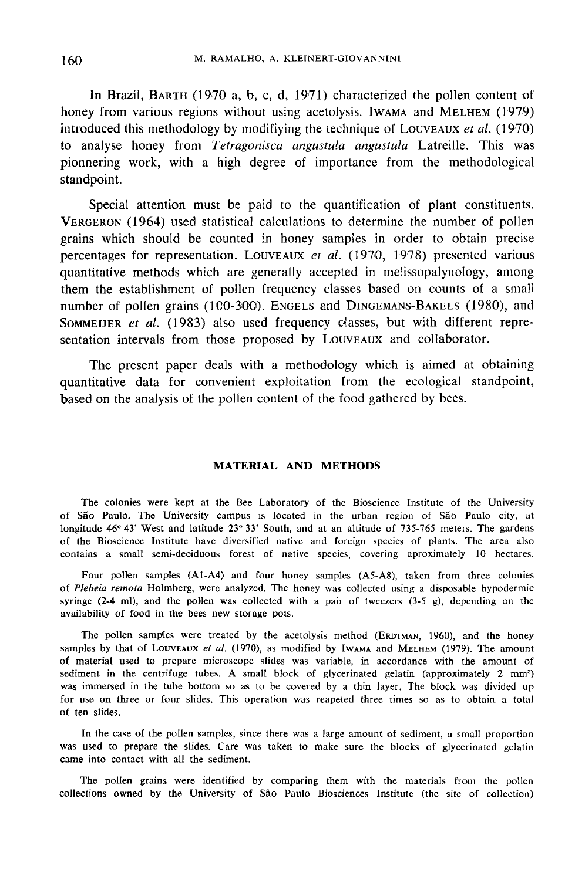M. RAMALHO, A. KLEINERT-GIOVANNINI<br>In Brazil, BARTH (1970 a, b, c, d, 1971) characterized the pollen content of honey from various regions without using acetolysis. IWAMA and MELHEM (1979)<br>honey from various regions without using acetolysis. IWAMA and MELHEM (1979) introduced this methodology by modifiving the technique of LOUVEAUX et al. (1970) to analyse honey from Tetragonisca angustula angustula Latreille. This was pionnering work, with a high degree of importance from the methodological standpoint.

Special attention must be paid to the quantification of plant constituents.<br>VERGERON (1964) used statistical calculations to determine the number of pollen The standpoint.<br>
Special attention must be paid to the quantification of plant constituents.<br>
VERGERON (1964) used statistical calculations to determine the number of pollen<br>
grains which should be counted in honey samples Special attention must be paid to the quantification of plant constituents.<br>VERGERON (1964) used statistical calculations to determine the number of pollen<br>grains which should be counted in honey samples in order to obtai quantitative methods which are generally accepted in melissopalynology, among them the establishment of pollen frequency classes based on counts of a small number of pollen grains (100-300). ENGELS and DINGEMANS-BAKELS (1980), and pionnering work, with a high degree of importance from the methodological<br>standpoint.<br>Special attention must be paid to the quantification of plant constituents.<br>VERGERON (1964) used statistical calculations to determine percentages for representation. Louveaux *et al.* (1970, 1978) presented various quantitative methods which are generally accepted in melissopalynology, among them the establishment of pollen frequency classes based on cou

The present paper deals with a methodology which is aimed at obtaining quantitative data for convenient exploitation from the ecological standpoint, based on the analysis of the pollen content of the food gathered by bees.

# MATERIAL AND METHODS

The colonies were kept at the Bee Laboratory of the Bioscience Institute of the University of Sao Paulo. The University campus is located in the urban region of Sao Paulo city, at longitude 46°43' West and latitude 23° 33' South, and at an altitude of 735-765 meters. The gardens of the Bioscience Institute have diversified native and foreign species of plants. The area also contains a small semi-deciduous forest of native species, covering aproximately 10 hectares.

Four pollen samples (Al-A4) and four honey samples (A5-A8), taken from three colonies of Plebeia remota Holmberg, were analyzed. The honey was collected using a disposable hypodermic<br>syringe (2-4 ml), and the pollen was collected with a pair of tweezers (3-5 g), depending on the<br>availability of food in the syringe  $(2-4$  ml), and the pollen was collected with a pair of tweezers  $(3-5)$  g), depending on the availability of food in the bees new storage pots.

The pollen samples were treated by the acetolysis method (ERDTMAN, 1960), and the honey samples by that of LOUVEAUX et al. (1970), as modified by IWAMA and MELHEM (1979). The amount Supples by that of LOUVEAUX *et ut.* (1970), as mounted by TWAMA and MELHEM (1979). The amount of sediment in the centrifuge tubes. A small block of glycerinated gelatin (approximately 2 mm<sup>3</sup>) such the centrifuge tubes. was immersed in the tube bottom so as to be covered by a thin layer. The block was divided up for use on three or four slides. This operation was reapeted three times so as to obtain a total of ten slides.

In the case of the pollen samples, since there was a large amount of sediment, a small proportion was used to prepare the slides. Care was taken to make sure the blocks of glycerinated gelatin came into contact with all the sediment.

The pollen grains were identified by comparing them with the materials from the pollen collections owned by the University of Sao Paulo Biosciences Institute (the site of collection)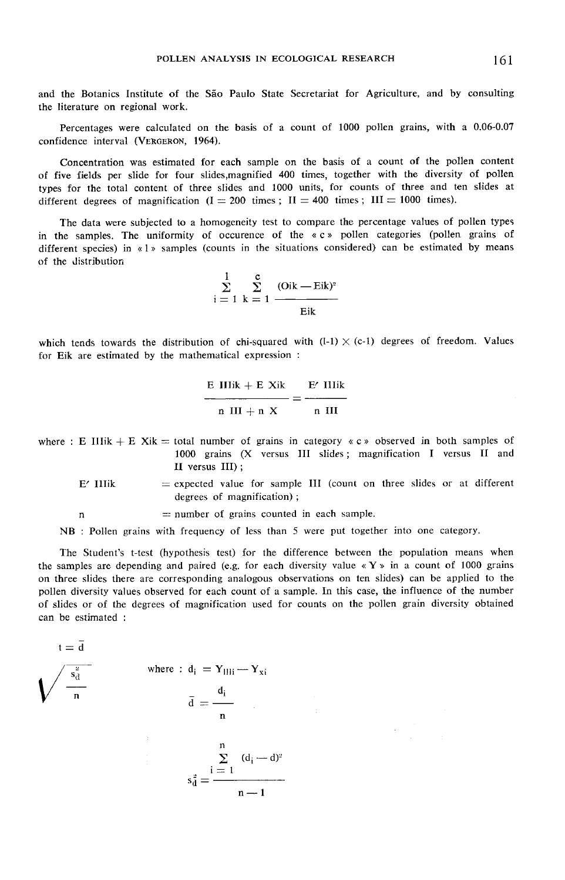and the Botanics Institute of the Sao Paulo State Secretariat for Agriculture, and by consulting the literature on regional work.

Percentages were calculated on the basis of a count of 1000 pollen grains, with a 0.06-0.07 confidence interval (VERGERON, 1964).

Concentration was estimated for each sample on the basis of a count of the pollen content of five fields per slide for four slides,magnified 400 times, together with the diversity of pollen types for the total content of three slides and 1000 units, for counts of three and ten slides at different degrees of magnification ( $I = 200$  times;  $II = 400$  times;  $III = 1000$  times).

The data were subjected to a homogeneity test to compare the percentage values of pollen types in the samples. The uniformity of occurence of the « c » pollen categories (pollen grains of different species) in  $\ll 1$  samples (counts in the situations considered) can be estimated by means of the distribution

$$
\sum_{i=1}^{1} \sum_{k=1}^{c} \frac{(0ik - Eik)^{2}}{Eik}
$$

which tends towards the distribution of chi-squared with  $(l-1) \times (c-1)$  degrees of freedom. Values for Eik are estimated by the mathematical expression :

$$
\frac{\text{E IIIik} + \text{E Xik}}{\text{n III} + \text{n X}} = \frac{\text{E' IIlik}}{\text{n III}}
$$

where : E IIIik + E Xik = total number of grains in category  $\ll$  c  $\gg$  observed in both samples of 7000 grains (X versus III slides ; magnification I versus II and II versus III);

 $E'$  IIIik  $=$  expected value for sample III (count on three slides or at different degrees of magnification) ;

 $n =$  number of grains counted in each sample.

NB : Pollen grains with frequency of less than 5 were put together into one category.

The Student's t-test (hypothesis test) for the difference between the population means when the samples are depending and paired (e.g. for each diversity value  $\langle Y \rangle$  in a count of 1000 grains on three slides there are corresponding analogous observations on ten slides) can be applied to the pollen diversity values observed for each count of a sample. In this case, the influence of the number of slides or of the degrees of magnification used for counts on the pollen grain diversity obtained can be estimated :

 $t = \overline{d}$  $s_{d}$ 

where : 
$$
d_i = Y_{111} - Y_{xi}
$$
  
\n
$$
\bar{d} = \frac{d_i}{n}
$$
\n
$$
\sum_{i=1}^{n} (d_i - d)^2
$$
\n
$$
s_d^2 = \frac{i}{n} = 1
$$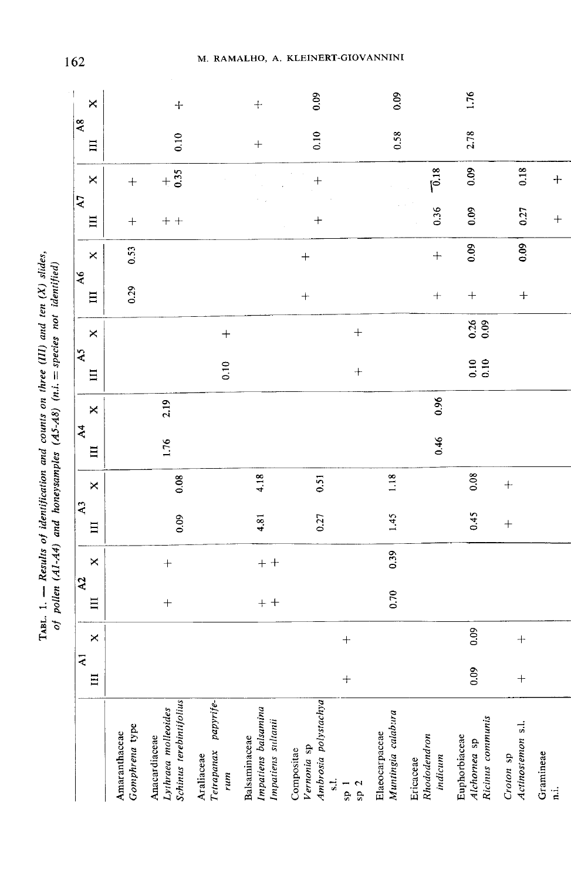| and ten $(X)$                       | res not id.       |
|-------------------------------------|-------------------|
| $\epsilon$ (II)<br>í<br>nree        | $d.i. = specific$ |
| on tr<br>and counts                 | $\vdots$<br>Î.    |
|                                     | and               |
| $\frac{1}{\sqrt{2}}$<br>.<br>.<br>. | í                 |

|                                                                     |                     |              | $\mathbf{z}$ |       | $\lambda$ 3 |          | $\mathsf{A}4$ |      | A5               |        | A6      |          | $\lambda$ 7 |               | A8    |        |
|---------------------------------------------------------------------|---------------------|--------------|--------------|-------|-------------|----------|---------------|------|------------------|--------|---------|----------|-------------|---------------|-------|--------|
|                                                                     | $\overline{A}$<br>Щ | $\mathsf{x}$ | $\mathbf{H}$ | ×     | $\equiv$    | ×        | E             | ×    | $\Xi$            | ×      | $\Xi$   | $\times$ | $\Xi$       | ×             | $\Xi$ | ×      |
| Gomphrena type<br>Amaranthaceae                                     |                     |              |              |       |             |          |               |      |                  |        | 0.29    | 0.53     | $^{+}$      | $+$           |       |        |
| Schinus terebintifolius<br>Lythraea molleoides<br>Anacardiaceae     |                     |              | $^{+}$       |       | 0.09        | $0.08\,$ | 1.76          | 2.19 |                  |        |         |          | $+ +$       | $+5.35$       | 0.10  | $\div$ |
| Tetrapanax papyrife-<br>Araliaceae<br>rum                           |                     |              |              |       |             |          |               |      | 0.10             | $^{+}$ |         |          |             |               |       |        |
| Impatiens balsamina<br>Impatiens sultanii<br>Balsaminaceae          |                     |              | $+ +$        | $+ +$ | 4.81        | 4.18     |               |      |                  |        |         |          |             |               | $+$   | $+$    |
| Ambrosia polystachya<br>Vernonia sp<br>Compositae<br>$\overline{a}$ |                     |              |              |       | 0.27        | 0.51     |               |      |                  |        | $+$     | $^{+}$   | $\ddag$     | $^{+}$        | 0.10  | 0.09   |
| $\,$ sp $\,$ 2<br>${\rm sp}$ 1                                      | $\pm$               | $+$          |              |       |             |          |               |      | $\ddag$          | $^{+}$ |         |          |             |               |       |        |
| Muntingia calabura<br>Elaeocarpaceae                                |                     |              | 0.70         | 0.39  | 1.45        | 1.18     |               |      |                  |        |         |          |             |               | 0.58  | 0.09   |
| Rhododendron<br>indicum<br>Ericaceae                                |                     |              |              |       |             |          | 0.46          | 0.96 |                  |        | $\!+\!$ | $+$      | 0.36        | $\frac{18}{}$ |       |        |
| Ricinus communis<br>Euphorbiaceae<br>Alchornea sp                   | 0.09                | 0.09         |              |       | 0.45        | 0.08     |               |      | $0.10$<br>$0.10$ | 0.26   | $+$     | 0.09     | 0.09        | 0.09          | 2.78  | 1.76   |
| Actinostemon s.l.<br>Croton sp                                      | $\pm$               | $+$          |              |       | $\! + \!$   | $\! +$   |               |      |                  |        | $^{+}$  | 0.09     | 0.27        | 0.18          |       |        |
| Gramineae<br>$\ddot{a}$                                             |                     |              |              |       |             |          |               |      |                  |        |         |          | $^{+}$      |               |       |        |

162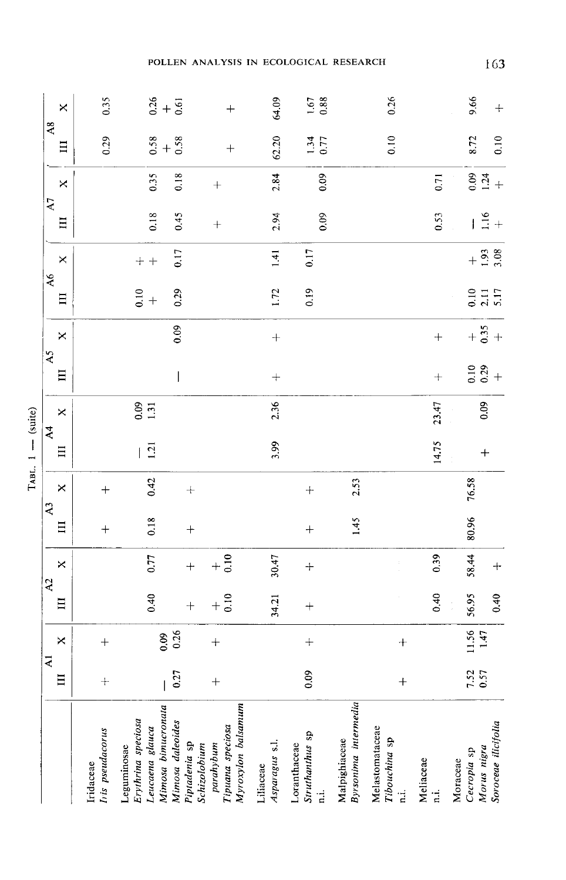|                                                                     | $\mathbf{z}$     |                | $\lambda2$     |                | $\overline{A}3$ |            | $\overline{A}4$ |                | AS                    |                   | A6                         |          | $\Delta$        |          | $\mathsf{A}8$      |                  |
|---------------------------------------------------------------------|------------------|----------------|----------------|----------------|-----------------|------------|-----------------|----------------|-----------------------|-------------------|----------------------------|----------|-----------------|----------|--------------------|------------------|
|                                                                     | 目                | $\times$       | 日              | $\times$       | $\Xi$           | ×          | $\Xi$           | $\times$       | $\Xi$                 | $\times$          | $\Xi$                      | $\times$ | $\Xi$           | $\times$ | 日                  | ×                |
| Tis pseudacorus<br><b>Iridaceae</b>                                 | $+$              | $^{+}$         |                |                | $\ddot{}$       | $^{+}$     |                 |                |                       |                   |                            |          |                 |          | 0.29               | 0.35             |
| Trythrina speciosa<br>eucaena glauca<br>Leguminosae                 |                  |                | 0.40           | 0.77           | 0.18            | 0.42       | 1.21            | $0.09$<br>1.31 |                       |                   | $rac{1}{6}$                | $+ +$    | 0.18            | 0.35     |                    |                  |
| Vimosa bimucronata<br>Mimosa daleoides<br><sup>p</sup> iptadenia sp | $\frac{1}{0.27}$ | $0.09$<br>0.26 | $\ddot{}$      | $+$            | $^{+}$          | $\ddot{+}$ |                 |                | I                     | 0.09              | 0.29                       | 0.17     | 0.45            | 0.18     | $6.58$<br>$+$ $58$ | $0.26$<br>$+ 61$ |
| Myroxylon balsamum<br>Tipuana speciosa<br>parahybum<br>Schizolobium |                  | $^{+}$         | $+\frac{6}{6}$ | $+\frac{8}{6}$ |                 |            |                 |                |                       |                   |                            |          | $^{+}$          | $^{+}$   | $^{+}$             | $+$              |
| Asparagus s.l.<br>Liliaceae                                         |                  |                | 34.21          | 30.47          |                 |            | 3.99            | 2.36           | $^{+}$                | $\ddot{}$         | 1.72                       | 1.41     | 2.94            | 2.84     | 62.20              | 64.09            |
| Struthanthus sp<br>oranthaceae                                      | 0.09             | $^{+}$         | $+$            | $\ddot{}$      | $\ddot{+}$      | $+$        |                 |                |                       |                   | 0.19                       | 0.17     | 0.09            | 0.09     | $1.34$<br>0.77     | $1.67$<br>0.88   |
| Byrsonima intermedia<br>Malpighiaceae                               |                  |                |                |                | 1.45            | 2.53       |                 |                |                       |                   |                            |          |                 |          |                    |                  |
| Melastomataceae<br>Tibouchina sp                                    | $+$              | $^{+}$         |                |                |                 |            |                 |                |                       |                   |                            |          |                 |          | 0.10               | 0.26             |
| Meliaceae                                                           |                  |                | 0.40           | 0.39           |                 |            | 14.75           | 23.47          | $+$                   | $+$               |                            |          | 0.53            | 0.71     |                    |                  |
| Cecropia sp<br>Могасеае                                             | $7.52$<br>0.57   | 11.56<br>1.47  | 56.95          | 58.44          | 80.96           | 76.58      |                 |                |                       |                   |                            |          |                 |          | 8.72               | 9.66             |
| Soroceae ilicifolia<br>Morus nigra                                  |                  |                | 0.40           | $+$            |                 |            | $\ddot{}$       | 0.09           | $\frac{0.29}{0.29}$ + | $+\frac{15}{9}$ + | $0.10$<br>$2.11$<br>$5.17$ | $+3.38$  | $\frac{9}{2}$ + | $0.34 +$ | 0.10               | $+$              |

TABL.  $1 - (suit)$ 

POLLEN ANALYSIS IN ECOLOGICAL RESEARCH

163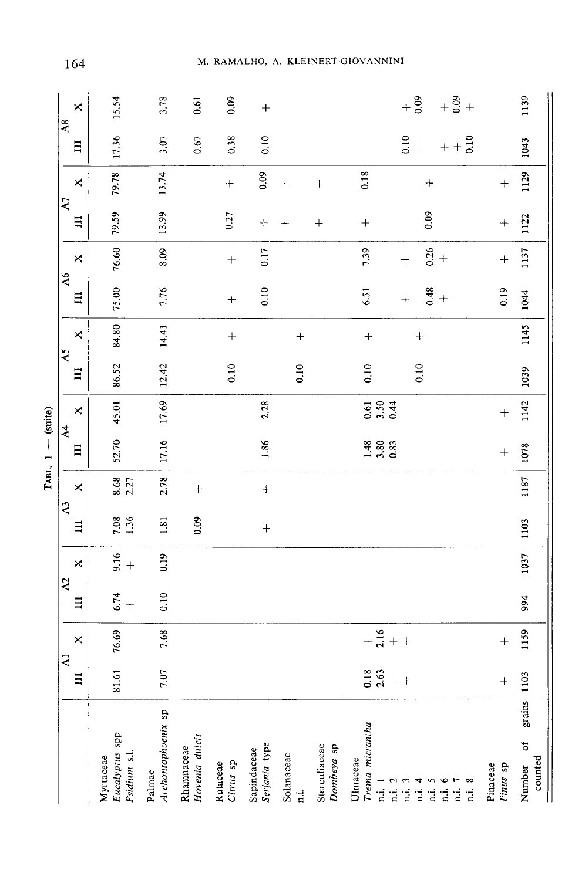|                                                                                |                                 |                     |                |          |                |              | Тавг. 1 -                  | (suite)            |                |       |                 |            |                  |            |                   |                  |
|--------------------------------------------------------------------------------|---------------------------------|---------------------|----------------|----------|----------------|--------------|----------------------------|--------------------|----------------|-------|-----------------|------------|------------------|------------|-------------------|------------------|
|                                                                                | $\overline{a}$                  |                     | A <sub>2</sub> |          | $\mathbf{A}^3$ |              | $\overline{A}$             |                    | A <sub>5</sub> |       | $\overline{A6}$ |            | A7               |            | $\overline{AB}$   |                  |
|                                                                                | Ξ                               | $\times$            | $\Xi$          | $\times$ | Ħ              | ×            | $\Xi$                      | $\times$           | $\equiv$       | ×     | $\Xi$           | ×          | $\equiv$         | ×          | $\Xi$             | $\times$         |
| Eucalyptus spp<br>Psidium s.l.<br>Myrtaceae                                    | 5<br>$\overline{3}$             | 76.69               | 6.74           | $6 +$    | 7.08<br>1.36   | 8.68<br>2.27 | 52.70                      | 45.01              | 86.52          | 84.80 | 75.00           | 76.60      | 79.59            | 79.78      | 17.36             | 15.54            |
| Archontophoenix sp<br>Palmae                                                   | 7.07                            | 7.68                | 0.10           | 0.19     | 1.81           | 2.78         | 17.16                      | 17.69              | 12.42          | 14.41 | 7.76            | 8.09       | 13.99            | 13.74      | 3.07              | 3.78             |
| Hovenia dulcis<br>Rhamnaceae                                                   |                                 |                     |                |          | 0.09           | $+$          |                            |                    |                |       |                 |            |                  |            | 0.67              | 0.61             |
| Cirrus sp<br>Rutaceae                                                          |                                 |                     |                |          |                |              |                            |                    | 0.10           | $+$   | $\ddot{+}$      | $+$        | 0.27             | $^{+}$     | 0.38              | 0.09             |
| Serjania type<br>Sapindaceae                                                   |                                 |                     |                |          | $^{+}$         | $\!+\!$      | 1.86                       | 2.28               |                |       | 0.10            | 0.17       | $\div$           | 0.09       | 0.10              | $\! + \!$        |
| Solanaceae<br>$\ddot{a}$                                                       |                                 |                     |                |          |                |              |                            |                    | 0.10           | $+$   |                 |            | $^{+}$           | $\ddot{+}$ |                   |                  |
| Sterculiaceae<br>Dombeya sp                                                    |                                 |                     |                |          |                |              |                            |                    |                |       |                 |            | $\boldsymbol{+}$ | $+$        |                   |                  |
| Trema micrantha<br>Ulmaceae<br>$\vec{a}$                                       | $\frac{8}{3}$ $\frac{6}{3}$ + + | $+\frac{6}{61}$ + + |                |          |                |              | $1.48$<br>$3.80$<br>$0.83$ | $0.50$<br>$0.44$   | 0.10           | $+$   | 6.51            | 7.39       |                  | 0.18       |                   |                  |
| م<br>4<br>$\mathbf{\hat{c}}$<br>i.<br>$\vec{a}$<br>$\ddot{a}$                  |                                 |                     |                |          |                |              |                            |                    | 0.10           | $+$   | $\ddot{}$       | $\ddot{+}$ |                  |            | $rac{1}{6}$       |                  |
| S<br>$\bullet$<br>$\overline{r}$<br>n.i. 8<br>$\ddot{a}$ .<br>Ë,<br>$\ddot{a}$ |                                 |                     |                |          |                |              |                            |                    |                |       | 648             | $6.26 +$   | 0.09             | $+$        | $+ + \frac{8}{6}$ | $+\frac{8}{9}$ + |
| Pinaceae<br>Pinus sp                                                           | $+$                             | $+$                 |                |          |                |              | $+$                        | $\hspace{0.1mm} +$ |                |       | 0.19            | $\ddot{}$  | $+$              | $+$        |                   |                  |
| ð<br>counted<br>Number                                                         | grains 1103                     | 1159                | 994            | 1037     | 1103           | 1187         | 1078                       | 1142               | 1039           | 1145  | 1044            | 1137       | 1122             | 1129       | 1043              | 1139             |

164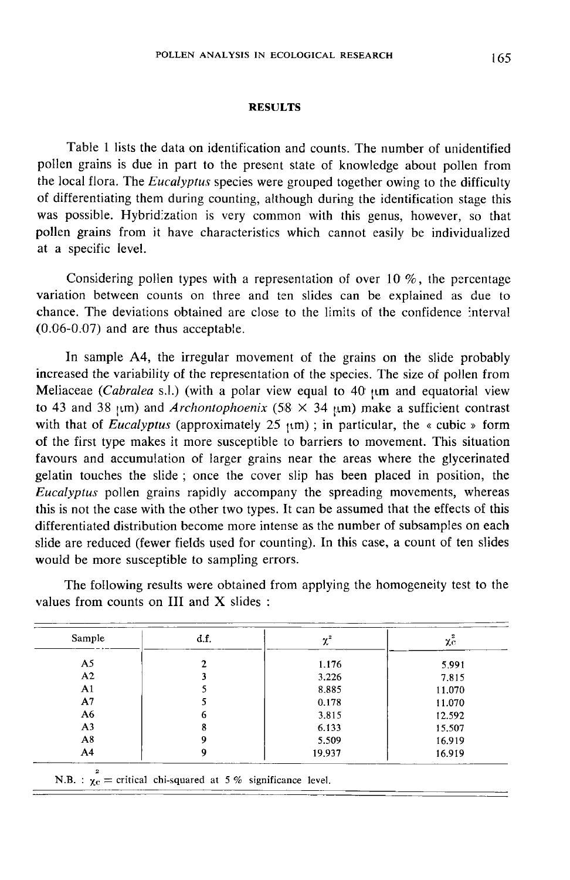### RESULTS

Table 1 lists the data on identification and counts. The number of unidentified pollen grains is due in part to the present state of knowledge about pollen from the local flora. The Eucalyptus species were grouped together owing to the difficulty of differentiating them during counting, although during the identification stage this was possible. Hybridization is very common with this genus, however, so that pollen grains from it have characteristics which cannot easily be individualized at a specific level.

Considering pollen types with a representation of over 10  $\%$ , the percentage variation between counts on three and ten slides can be explained as due to chance. The deviations obtained are close to the limits of the confidence interval Considering pollen types with a<br>variation between counts on three<br>chance. The deviations obtained are<br>(0.06-0.07) and are thus acceptable.

In sample A4, the irregular movement of the grains on the slide probably increased the variability of the representation of the species. The size of pollen from Meliaceae (Cabralea s.l.) (with a polar view equal to 40  $\mu$ m and equatorial view to 43 and 38  $\mu$ m) and Archontophoenix (58  $\times$  34  $\mu$ m) make a sufficient contrast with that of *Eucalyptus* (approximately 25  $\mu$ m); in particular, the « cubic » form of the first type makes it more susceptible to barriers to movement. This situation favours and accumulation of larger grains near the areas where the glycerinated gelatin touches the slide ; once the cover slip has been placed in position, the Eucalyptus pollen grains rapidly accompany the spreading movements, whereas this is not the case with the other two types. It can be assumed that the effects of this differentiated distribution become more intense as the number of subsamples on each slide are reduced (fewer fields used for counting). In this case, a count of ten slides would be more susceptible to sampling errors.

The following results were obtained from applying the homogeneity test to the values from counts on III and X slides :

| Sample         | d.f. | $\chi^2$ | $\chi^2_{\rm C}$ |
|----------------|------|----------|------------------|
| A <sub>5</sub> | 2    | 1.176    | 5.991            |
| A2             |      | 3.226    | 7.815            |
| A <sub>1</sub> |      | 8.885    | 11.070           |
| A7             |      | 0.178    | 11.070           |
| A6             | 6    | 3.815    | 12.592           |
| A <sub>3</sub> |      | 6.133    | 15.507           |
| A8             | Ω    | 5.509    | 16.919           |
| A <sub>4</sub> | 9    | 19.937   | 16.919           |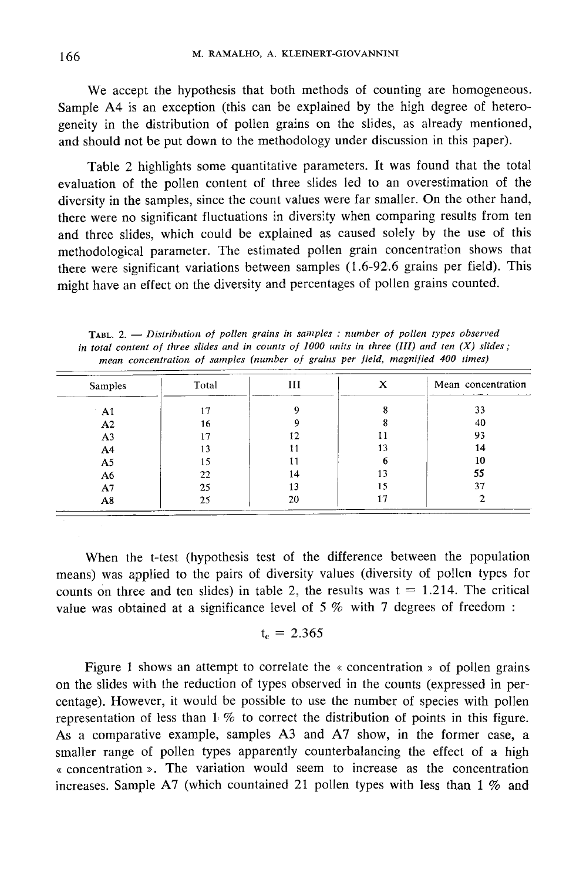We accept the hypothesis that both methods of counting are homogeneous. Sample A4 is an exception (this can be explained by the high degree of heterogeneity in the distribution of pollen grains on the slides, as already mentioned, and should not be put down to the methodology under discussion in this paper).

Table 2 highlights some quantitative parameters. It was found that the total evaluation of the pollen content of three slides led to an overestimation of the diversity in the samples, since the count values were far smaller. On the other hand, there were no significant fluctuations in diversity when comparing results from ten and three slides, which could be explained as caused solely by the use of this methodological parameter. The estimated pollen grain concentration shows that there were significant variations between samples (1.6-92.6 grains per field). This might have an effect on the diversity and percentages of pollen grains counted.

| Samples        | Total | III | x  | Mean concentration |
|----------------|-------|-----|----|--------------------|
| A <sub>1</sub> | 17    |     |    | 33                 |
| A2             | 16    |     |    | 40                 |
| A <sub>3</sub> | 17    |     |    | 93                 |
| A <sub>4</sub> | 13    |     | 13 | 14                 |
| A5             | 15    | 11  |    | 10                 |
| A6             | 22    | 14  |    | 55                 |
| A7             | 25    | 13  | 15 | 37                 |
| A8             | 25    | 20  | 17 |                    |

TABL. 2.  $-$  Distribution of pollen grains in samples : number of pollen types observed in total content of three slides and in counts of 1000 units in three (III) and ten  $(X)$  slides; mean concentration of samples (number of grains per field, magnified 400 times)

When the t-test (hypothesis test of the difference between the population means) was applied to the pairs of diversity values (diversity of pollen types for counts on three and ten slides) in table 2, the results was  $t = 1.214$ . The critical value was obtained at a significance level of 5 % with 7 degrees of freedom :

$$
t_{\rm c} = 2.365
$$

Figure 1 shows an attempt to correlate the « concentration » of pollen grains on the slides with the reduction of types observed in the counts (expressed in percentage). However, it would be possible to use the number of species with pollen representation of less than 1 % to correct the distribution of points in this figure. As a comparative example, samples A3 and A7 show, in the former case, a smaller range of pollen types apparently counterbalancing the effect of a high « concentration p. The variation would seem to increase as the concentration increases. Sample A7 (which countained 21 pollen types with less than 1 % and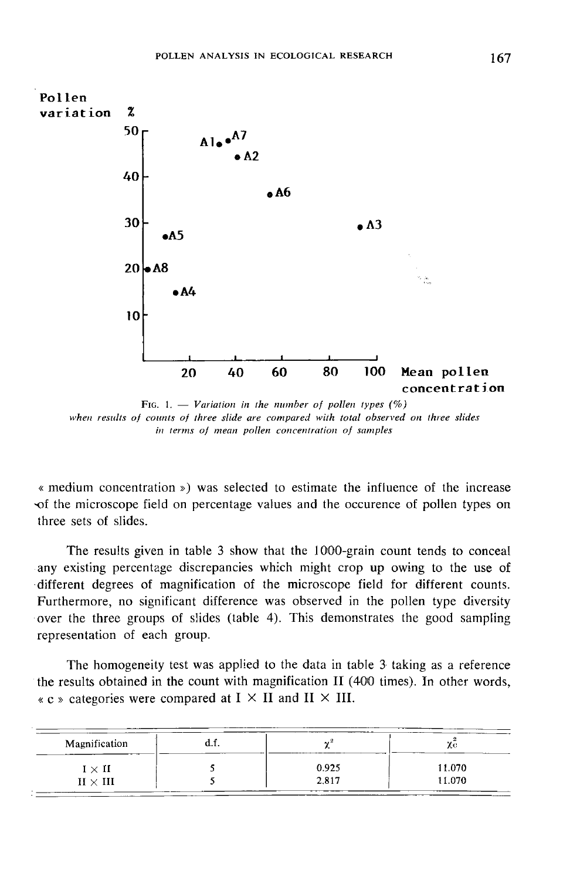

FIG. 1. - Variation in the number of pollen types  $(\%)$ when results of counts of three slide are compared with total observed on three slides in terms of mean pollen concentration of samples

« medium concentration p) was selected to estimate the influence of the increase - of the microscope field on percentage values and the occurence of pollen types on three sets of slides.

The results given in table 3 show that the 1000-grain count tends to conceal any existing percentage discrepancies which might crop up owing to the use of different degrees of magnification of the microscope field for different counts. Furthermore, no significant difference was observed in the pollen type diversity over the three groups of slides (table 4). This demonstrates the good sampling representation of each group.

The homogeneity test was applied to the data in table 3 taking as a reference the results obtained in the count with magnification II (400 times). In other words,  $\kappa$  c » categories were compared at I  $\times$  II and II  $\times$  III.

| Magnification   | u.ı. | $\sim$ <sup>2</sup> |        |
|-----------------|------|---------------------|--------|
| $I \times II$   |      | 0.925               | 11.070 |
| $II \times III$ |      | 2.817               | 11.070 |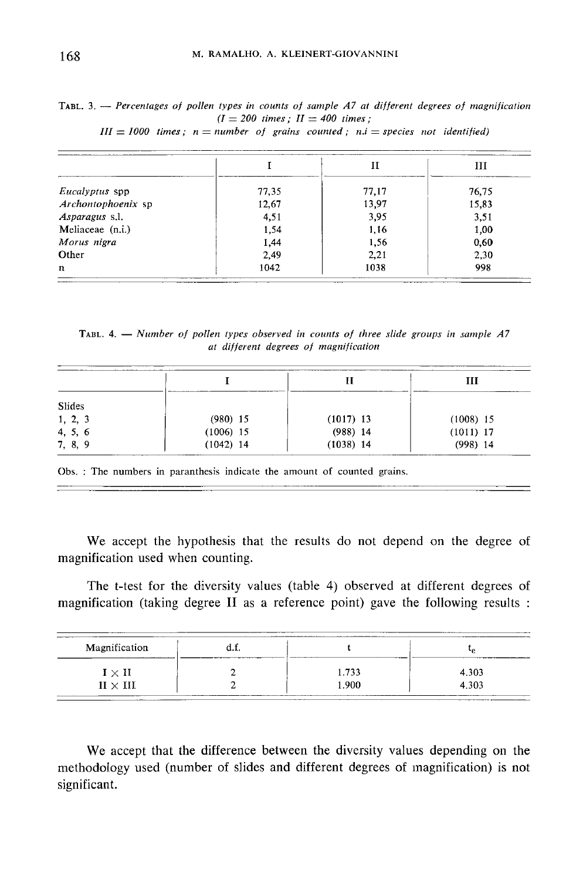TABL. 3. --- Percentages of pollen types in counts of sample  $A7$  at different degrees of magnification  $(I = 200$  times;  $II = 400$  times;  $III = 1000$  times;  $n = number$  of grains counted;  $n.i = species$  not identified)

|                    |       |       | ш     |
|--------------------|-------|-------|-------|
| Eucalyptus spp     | 77,35 | 77,17 | 76,75 |
| Archontophoenix sp | 12,67 | 13,97 | 15,83 |
| Asparagus s.l.     | 4,51  | 3,95  | 3,51  |
| Meliaceae (n.i.)   | 1,54  | 1,16  | 1,00  |
| Morus nigra        | 1,44  | 1.56  | 0,60  |
| Other              | 2,49  | 2,21  | 2,30  |
| $\mathbf n$        | 1042  | 1038  | 998   |

TABL. 4.  $-$  Number of pollen types observed in counts of three slide groups in sample  $A7$ at different degrees of magnification

|         |             |             | ПT          |
|---------|-------------|-------------|-------------|
| Slides  |             |             |             |
| 1, 2, 3 | $(980)$ 15  | $(1017)$ 13 | $(1008)$ 15 |
| 4, 5, 6 | (1006) 15   | $(988)$ 14  | $(1011)$ 17 |
| 7, 8, 9 | $(1042)$ 14 | $(1038)$ 14 | $(998)$ 14  |

Obs. : The numbers in paranthesis indicate the amount of counted grains.

We accept the hypothesis that the results do not depend on the degree of magnification used when counting.

The t-test for the diversity values (table 4) observed at different degrees of magnification (taking degree II as a reference point) gave the following results :

| Magnification                   | ____  | $\sim$  |
|---------------------------------|-------|---------|
| $\textbf{I} \times \textbf{II}$ | 1.733 | 4 3 0 3 |
| $II \times III$                 | L.900 | 4.303   |

We accept that the difference between the diversity values depending on the methodology used (number of slides and different degrees of magnification) is not significant.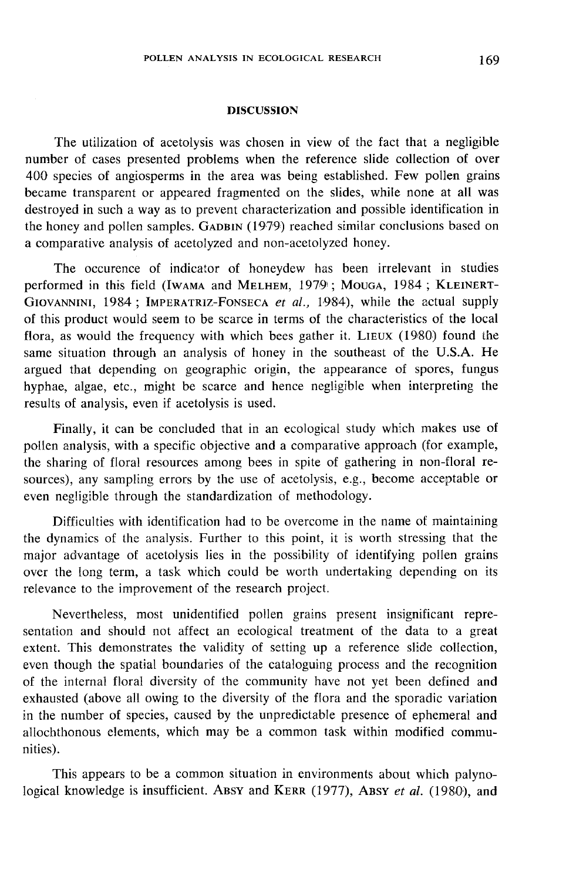### DISCUSSION

The utilization of acetolysis was chosen in view of the fact that a negligible number of cases presented problems when the reference slide collection of over 400 species of angiosperms in the area was being established. Few pollen grains became transparent or appeared fragmented on the slides, while none at all was destroyed in such a way as to prevent characterization and possible identification in<br>the honey and pollen samples. GADBIN (1979) reached similar conclusions based on 400 species of angiosperms in the area was being established. Few pollen grains<br>became transparent or appeared fragmented on the slides, while none at all was<br>destroyed in such a way as to prevent characterization and poss a comparative analysis of acetolyzed and non-acetolyzed honey. IT INTERT CHANNING THE UNITED THE UNITED THE UNITED THE THAT A HAMIST CONDIDENT AND O Species of angiosperms in the area was being established. Few pollen grains became transparent or appeared fragmented on the slides, whi

The occurence of indicator of honeydew has been irrelevant in studies performed destroyed in such a way as to prevent characterization and possible identification in<br>the honey and pollen samples. GADBIN (1979) reached similar conclusions based on<br>a comparative analysis of acetolyzed and non-acetolyzed of this product would seem to be scarce in terms of the characteristics of the local GIOVANNINI, 1984; IMPERATRIZ-FONSECA *et al.*, 1984), while the actual supply<br>of this product would seem to be scarce in terms of the characteristics of the local<br>flora, as would the frequency with which bees gather it. L same situation through an analysis of honey in the southeast of the U.S.A. He argued that depending on geographic origin, the appearance of spores, fungus hyphae, algae, etc., might be scarce and hence negligible when interpreting the results of analysis, even if acetolysis is used.

Finally, it can be concluded that in an ecological study which makes use of pollen analysis, with a specific objective and a comparative approach (for example, the sharing of floral resources among bees in spite of gathering in non-floral resources), any sampling errors by the use of acetolysis, e.g., become acceptable or even negligible through the standardization of methodology.

Difficulties with identification had to be overcome in the name of maintaining the dynamics of the analysis. Further to this point, it is worth stressing that the major advantage of acetolysis lies in the possibility of identifying pollen grains over the long term, a task which could be worth undertaking depending on its relevance to the improvement of the research project.

Nevertheless, most unidentified pollen grains present insignificant representation and should not affect an ecological treatment of the data to a great extent. This demonstrates the validity of setting up a reference slide collection, even though the spatial boundaries of the cataloguing process and the recognition of the internal floral diversity of the community have not yet been defined and exhausted (above all owing to the diversity of the flora and the sporadic variation in the number of species, caused by the unpredictable presence of ephemeral and allochthonous elements, which may be a common task within modified communities).

This appears to be a common situation in environments about which palynological knowledge is insufficient. ABSY and KERR (1977), ABSY et al. (1980), and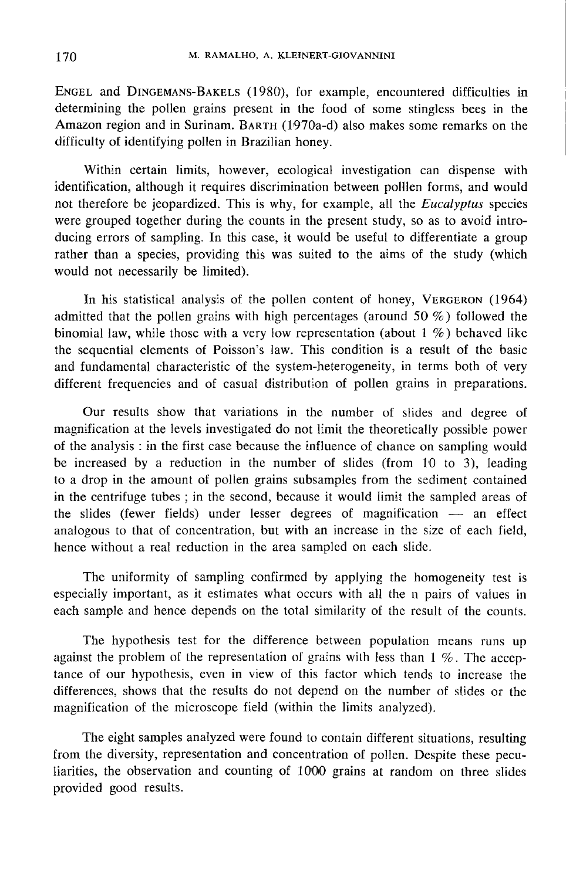ENGEL and DINGEMANS-BAKELS (1980), for example, encountered difficulties in determining the pollen grains present in the food of some stingless bees in the Amazon region and in Surinam. BARTH (1970a-d) also makes some remarks on the difficulty of identifying pollen in Brazilian honey.

Within certain limits, however, ecological investigation can dispense with identification, although it requires discrimination between polllen forms, and would not therefore be jeopardized. This is why, for example, all the *Eucalyptus* species were grouped together during the counts in the present study, so as to avoid introducing errors of sampling. In this case, it would be useful to differentiate a group rather than a species, providing this was suited to the aims of the study (which would not necessarily be limited). In his statistical analysis of the pollen content of honey, VERGERON (1964)<br>In his statistical analysis of the pollen content of honey, VERGERON (1964)<br>In his statistical analysis of the pollen content of honey, VERGERON (

admitted that the pollen grains with high percentages (around 50  $\%$ ) followed the binomial law, while those with a very low representation (about 1 %) behaved like the sequential elements of Poisson's law. This condition is a result of the basic and fundamental characteristic of the system-heterogeneity, in terms both of very different frequencies and of casual distribution of pollen grains in preparations.

Our results show that variations in the number of slides and degree of magnification at the levels investigated do not limit the theoretically possible power of the analysis : in the first case because the influence of chance on sampling would be increased by a reduction in the number of slides (from 10 to 3), leading to a drop in the amount of pollen grains subsamples from the sediment contained in the centrifuge tubes ; in the second, because it would limit the sampled areas of the slides (fewer fields) under lesser degrees of magnification  $-$  an effect analogous to that of concentration, but with an increase in the size of each field, hence without a real reduction in the area sampled on each slide.

The uniformity of sampling confirmed by applying the homogeneity test is especially important, as it estimates what occurs with all the n pairs of values in each sample and hence depends on the total similarity of the result of the counts.

The hypothesis test for the difference between population means runs up against the problem of the representation of grains with less than  $1 \%$ . The acceptance of our hypothesis, even in view of this factor which tends to increase the differences, shows that the results do not depend on the number of slides or the magnification of the microscope field (within the limits analyzed).

The eight samples analyzed were found to contain different situations, resulting from the diversity, representation and concentration of pollen. Despite these peculiarities, the observation and counting of 1000 grains at random on three slides provided good results.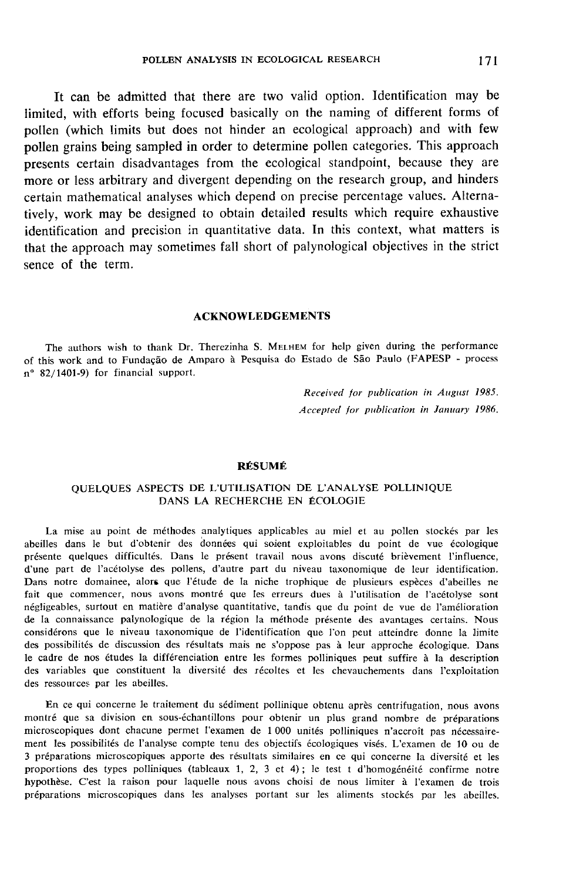It can be admitted that there are two valid option. Identification may be limited, with efforts being focused basically on the naming of different forms of pollen (which limits but does not hinder an ecological approach) and with few pollen grains being sampled in order to determine pollen categories. This approach presents certain disadvantages from the ecological standpoint, because they are more or less arbitrary and divergent depending on the research group, and hinders certain mathematical analyses which depend on precise percentage values. Alternatively, work may be designed to obtain detailed results which require exhaustive identification and precision in quantitative data. In this context, what matters is that the approach may sometimes fall short of palynological objectives in the strict sence of the term.

# ACKNOWLEDGEMENTS

The authors wish to thank Dr. Therezinha S. MELHEM for help given during the performance of this work and to Fundagdo de Amparo a Pesquisa do Estado de Sao Paulo (FAPESP - process n° 82/1401-9) for financial support.

> Received for publication in August 1985. Accepted for publication in January 1986.

#### RÉSUMÉ

### QUELQUES ASPECTS DE L'UTILISATION DE L'ANALYSE POLLINIQUE DANS LA RECHERCHE EN ÉCOLOGIE

La mise au point de méthodes analytiques applicables au miel et au pollen stockés par les abeilles dans le but d'obtenir des données qui soient exploitables du point de vue écologique présente quelques difficultés. Dans le présent travail nous avons discuté brièvement l'influence, d'une part de l'acétolyse des pollens, d'autre part du niveau taxonomique de leur identification. Dans notre domainee, alors que l'étude de la niche trophique de plusieurs espèces d'abeilles ne fait que commencer, nous avons montré que les erreurs dues à l'utilisation de l'acétolyse sont négligeables, surtout en matière d'analyse quantitative, tandis que du point de vue de l'amélioration de la connaissance palynologique de la région la méthode présente des avantages certains. Nous considérons que le niveau taxonomique de l'identification que l'on peut atteindre donne la limite des possibilités de discussion des résultats mais ne s'oppose pas à leur approche écologique. Dans le cadre de nos études la différenciation entre les formes polliniques peut suffire à la description des variables que constituent la diversité des récoltes et les chevauchements dans l'exploitation des ressources par les abeilles.

En ce qui concerne le traitement du sédiment pollinique obtenu après centrifugation, nous avons montré que sa division en sous-échantillons pour obtenir un plus grand nombre de préparations microscopiques dont chacune permet l'examen de 1 000 unités polliniques n'accroît pas nécessairement les possibilités de l'analyse compte tenu des objectifs écologiques visés. L'examen de 10 ou de 3 préparations microscopiques apporte des résultats similaires en ce qui concerne la diversité et les proportions des types polliniques (tableaux 1, 2, 3 et 4) ; le test t d'homogénéité confirme notre hypothèse. C'est la raison pour laquelle nous avons choisi de nous limiter à l'examen de trois préparations microscopiques dans les analyses portant sur les aliments stockés par les abeilles.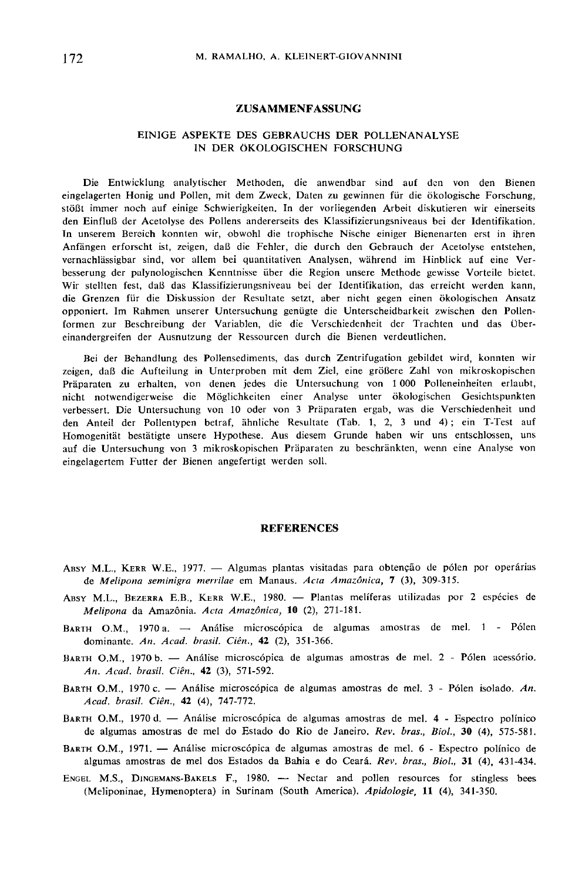#### ZUSAMMENFASSUNG

### EINIGE ASPEKTE DES GEBRAUCHS DER POLLENANALYSE IN DER ÖKOLOGISCHEN FORSCHUNG

Die Entwicklung analytischer Methoden, die anwendbar sind auf den von den Bienen eingelagerten Honig und Pollen, mit dem Zweck, Daten zu gewinnen für die ökologische Forschung, stößt immer noch auf einige Schwierigkeiten. In der vorliegenden Arbeit diskutieren wir einerseits den Einfluß der Acetolyse des Pollens andererseits des Klassifizierungsniveaus bei der Identifikation. In unserem Bereich konnten wir, obwohl die trophische Nische einiger Bienenarten erst in ihren Anfängen erforscht ist, zeigen, daß die Fehler, die durch den Gebrauch der Acetolyse entstehen, vernachlässigbar sind, vor allem bei quantitativen Analysen, während im Hinblick auf eine Verbesserung der palynologischen Kenntnisse über die Region unsere Methode gewisse Vorteile bietet. Wir stellten fest, daß das Klassifizierungsniveau bei der Identifikation, das erreicht werden kann, die Grenzen für die Diskussion der Resultate setzt, aber nicht gegen einen ökologischen Ansatz opponiert. Im Rahmen unserer Untersuchung genügte die Unterscheidbarkeit zwischen den Pollenformen zur Beschreibung der Variablen, die die Verschiedenheit der Trachten und das übereinandergreifen der Ausnutzung der Ressourcen durch die Bienen verdeutlichen.

Bei der Behandlung des Pollensediments, das durch Zentrifugation gebildet wird, konnten wir zeigen, daß die Aufteilung in Unterproben mit dem Ziel, eine größere Zahl von mikroskopischen Präparaten zu erhalten, von denen jedes die Untersuchung von 1000 Polleneinheiten erlaubt, nicht notwendigerweise die Möglichkeiten einer Analyse unter ökologischen Gesichtspunkten verbessert. Die Untersuchung von 10 oder von 3 Präparaten ergab, was die Verschiedenheit und den Anteil der Pollentypen betraf, ähnliche Resultate (Tab. 1, 2, 3 und 4) ; ein T-Test auf Homogenität bestätigte unsere Hypothese. Aus diesem Grunde haben wir uns entschlossen, uns auf die Untersuchung von 3 mikroskopischen Präparaten zu beschränkten, wenn eine Analyse von eingelagertem Futter der Bienen angefertigt werden soll.

#### **REFERENCES**

- ABSY M.L., KERR W.E., 1977. Algumas plantas visitadas para obtenção de pólen por operárias de Melipona seminigra merrilae em Manaus. Acta Amazônica, 7 (3), 309-315. ABSY M.L., KERR W.E., 1977. — Algumas plantas visitadas para obtenção de pólen por operárias<br>de *Melipona seminigra merrilae* em Manaus. Acta Amazônica, 7 (3), 309-315.<br>ABSY M.L., BEZERRA E.B., KERR W.E., 1980. — Plantas m
- Melipona da Amaz6nia. Acta Amaz6nica, 10 (2), 271-181. ABSY M.L., BEZERRA E.B., KERR W.E., 1980. — Plantas melíferas utilizadas por 2 espécies de *Melipona* da Amazônia. *Acta Amazônica*, 10 (2), 271-181.<br>BARTH O.M., 1970 a. — Análise microscópica de algumas amostras de mel. 1
- dominante. An. Acad. brasil. Ciên., 42 (2), 351-366.
- BARTH O.M., 1970 b. Análise microscópica de algumas amostras de mel. 2 Pólen acessório. An. Acad. brasil. Ciên., 42 (3), 571-592.
- BARTH O.M., 1970 c. Análise microscópica de algumas amostras de mel. 3 Pólen isolado. An. Acad. brasil. Ciên., 42 (4), 747-772. An. Acad. brasil. Cien., 42 (3), 5/1-592.<br>
BARTH O.M., 1970 c. — Análise microscópica de algumas amostras de mel. 3 - Pólen isolado. An.<br>
Acad. brasil. Ciên., 42 (4), 747-772.<br>
BARTH O.M., 1970 d. — Análise microscópica de
- BARTH O.M., 1970 d. Análise microscópica de algumas amostras de mel. 4 Espectro polínico de algumas amostras de mel do Estado do Rio de Janeiro. Rev. bras., Biol., 30 (4), 575-581.
- BARTH O.M., 1971. Análise microscópica de algumas amostras de mel. 6 Espectro polínico de algumas amostras de mel dos Estados da Bahia e do Ceará. Rev. bras., Biol., 31 (4), 431-434.
- (Meliponinae, Hymenoptera) in Surinam (South America). Apidologie, 11 (4), 341-350.